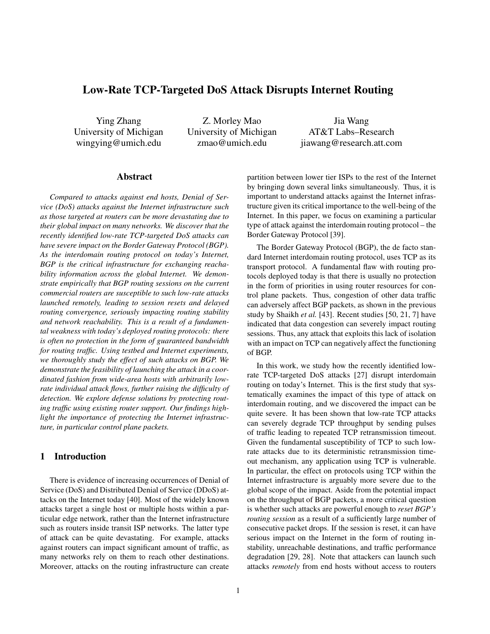# **Low-Rate TCP-Targeted DoS Attack Disrupts Internet Routing**

Ying Zhang University of Michigan wingying@umich.edu

Z. Morley Mao University of Michigan zmao@umich.edu

Jia Wang AT&T Labs–Research jiawang@research.att.com

### **Abstract**

*Compared to attacks against end hosts, Denial of Service (DoS) attacks against the Internet infrastructure such as those targeted at routers can be more devastating due to their global impact on many networks. We discover that the recently identified low-rate TCP-targeted DoS attacks can have severe impact on the Border Gateway Protocol (BGP). As the interdomain routing protocol on today's Internet, BGP is the critical infrastructure for exchanging reachability information across the global Internet. We demonstrate empirically that BGP routing sessions on the current commercial routers are susceptible to such low-rate attacks launched remotely, leading to session resets and delayed routing convergence, seriously impacting routing stability and network reachability. This is a result of a fundamental weakness with today's deployed routing protocols: there is often no protection in the form of guaranteed bandwidth for routing traffic. Using testbed and Internet experiments, we thoroughly study the effect of such attacks on BGP. We demonstrate the feasibility of launching the attack in a coordinated fashion from wide-area hosts with arbitrarily lowrate individual attack flows, further raising the difficulty of detection. We explore defense solutions by protecting routing traffic using existing router support. Our findings highlight the importance of protecting the Internet infrastructure, in particular control plane packets.*

## **1 Introduction**

There is evidence of increasing occurrences of Denial of Service (DoS) and Distributed Denial of Service (DDoS) attacks on the Internet today [40]. Most of the widely known attacks target a single host or multiple hosts within a particular edge network, rather than the Internet infrastructure such as routers inside transit ISP networks. The latter type of attack can be quite devastating. For example, attacks against routers can impact significant amount of traffic, as many networks rely on them to reach other destinations. Moreover, attacks on the routing infrastructure can create

partition between lower tier ISPs to the rest of the Internet by bringing down several links simultaneously. Thus, it is important to understand attacks against the Internet infrastructure given its critical importance to the well-being of the Internet. In this paper, we focus on examining a particular type of attack against the interdomain routing protocol – the Border Gateway Protocol [39].

The Border Gateway Protocol (BGP), the de facto standard Internet interdomain routing protocol, uses TCP as its transport protocol. A fundamental flaw with routing protocols deployed today is that there is usually no protection in the form of priorities in using router resources for control plane packets. Thus, congestion of other data traffic can adversely affect BGP packets, as shown in the previous study by Shaikh *et al.* [43]. Recent studies [50, 21, 7] have indicated that data congestion can severely impact routing sessions. Thus, any attack that exploits this lack of isolation with an impact on TCP can negatively affect the functioning of BGP.

In this work, we study how the recently identified lowrate TCP-targeted DoS attacks [27] disrupt interdomain routing on today's Internet. This is the first study that systematically examines the impact of this type of attack on interdomain routing, and we discovered the impact can be quite severe. It has been shown that low-rate TCP attacks can severely degrade TCP throughput by sending pulses of traffic leading to repeated TCP retransmission timeout. Given the fundamental susceptibility of TCP to such lowrate attacks due to its deterministic retransmission timeout mechanism, any application using TCP is vulnerable. In particular, the effect on protocols using TCP within the Internet infrastructure is arguably more severe due to the global scope of the impact. Aside from the potential impact on the throughput of BGP packets, a more critical question is whether such attacks are powerful enough to *reset BGP's routing session* as a result of a sufficiently large number of consecutive packet drops. If the session is reset, it can have serious impact on the Internet in the form of routing instability, unreachable destinations, and traffic performance degradation [29, 28]. Note that attackers can launch such attacks *remotely* from end hosts without access to routers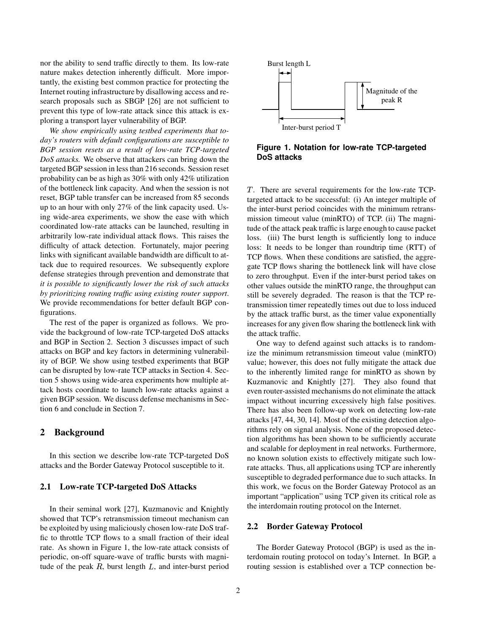nor the ability to send traffic directly to them. Its low-rate nature makes detection inherently difficult. More importantly, the existing best common practice for protecting the Internet routing infrastructure by disallowing access and research proposals such as SBGP [26] are not sufficient to prevent this type of low-rate attack since this attack is exploring a transport layer vulnerability of BGP.

*We show empirically using testbed experiments that today's routers with default configurations are susceptible to BGP session resets as a result of low-rate TCP-targeted DoS attacks.* We observe that attackers can bring down the targeted BGP session in less than 216 seconds. Session reset probability can be as high as 30% with only 42% utilization of the bottleneck link capacity. And when the session is not reset, BGP table transfer can be increased from 85 seconds up to an hour with only 27% of the link capacity used. Using wide-area experiments, we show the ease with which coordinated low-rate attacks can be launched, resulting in arbitrarily low-rate individual attack flows. This raises the difficulty of attack detection. Fortunately, major peering links with significant available bandwidth are difficult to attack due to required resources. We subsequently explore defense strategies through prevention and demonstrate that *it is possible to significantly lower the risk of such attacks by prioritizing routing traffic using existing router support*. We provide recommendations for better default BGP configurations.

The rest of the paper is organized as follows. We provide the background of low-rate TCP-targeted DoS attacks and BGP in Section 2. Section 3 discusses impact of such attacks on BGP and key factors in determining vulnerability of BGP. We show using testbed experiments that BGP can be disrupted by low-rate TCP attacks in Section 4. Section 5 shows using wide-area experiments how multiple attack hosts coordinate to launch low-rate attacks against a given BGP session. We discuss defense mechanisms in Section 6 and conclude in Section 7.

### **2 Background**

In this section we describe low-rate TCP-targeted DoS attacks and the Border Gateway Protocol susceptible to it.

### **2.1 Low-rate TCP-targeted DoS Attacks**

In their seminal work [27], Kuzmanovic and Knightly showed that TCP's retransmission timeout mechanism can be exploited by using maliciously chosen low-rate DoS traffic to throttle TCP flows to a small fraction of their ideal rate. As shown in Figure 1, the low-rate attack consists of periodic, on-off square-wave of traffic bursts with magnitude of the peak  $R$ , burst length  $L$ , and inter-burst period



**Figure 1. Notation for low-rate TCP-targeted DoS attacks**

- . There are several requirements for the low-rate TCPtargeted attack to be successful: (i) An integer multiple of the inter-burst period coincides with the minimum retransmission timeout value (minRTO) of TCP. (ii) The magnitude of the attack peak traffic is large enough to cause packet loss. (iii) The burst length is sufficiently long to induce loss: It needs to be longer than roundtrip time (RTT) of TCP flows. When these conditions are satisfied, the aggregate TCP flows sharing the bottleneck link will have close to zero throughput. Even if the inter-burst period takes on other values outside the minRTO range, the throughput can still be severely degraded. The reason is that the TCP retransmission timer repeatedly times out due to loss induced by the attack traffic burst, as the timer value exponentially increases for any given flow sharing the bottleneck link with the attack traffic.

One way to defend against such attacks is to randomize the minimum retransmission timeout value (minRTO) value; however, this does not fully mitigate the attack due to the inherently limited range for minRTO as shown by Kuzmanovic and Knightly [27]. They also found that even router-assisted mechanisms do not eliminate the attack impact without incurring excessively high false positives. There has also been follow-up work on detecting low-rate attacks [47, 44, 30, 14]. Most of the existing detection algorithms rely on signal analysis. None of the proposed detection algorithms has been shown to be sufficiently accurate and scalable for deployment in real networks. Furthermore, no known solution exists to effectively mitigate such lowrate attacks. Thus, all applications using TCP are inherently susceptible to degraded performance due to such attacks. In this work, we focus on the Border Gateway Protocol as an important "application" using TCP given its critical role as the interdomain routing protocol on the Internet.

#### **2.2 Border Gateway Protocol**

The Border Gateway Protocol (BGP) is used as the interdomain routing protocol on today's Internet. In BGP, a routing session is established over a TCP connection be-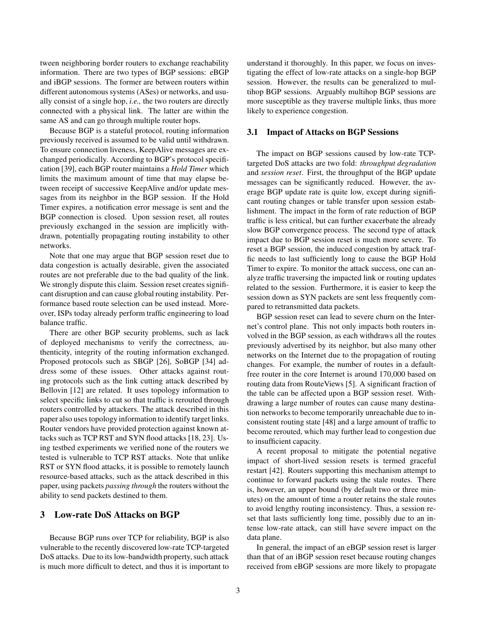tween neighboring border routers to exchange reachability information. There are two types of BGP sessions: eBGP and iBGP sessions. The former are between routers within different autonomous systems (ASes) or networks, and usually consist of a single hop, *i.e.,* the two routers are directly connected with a physical link. The latter are within the same AS and can go through multiple router hops.

Because BGP is a stateful protocol, routing information previously received is assumed to be valid until withdrawn. To ensure connection liveness, KeepAlive messages are exchanged periodically. According to BGP's protocol specification [39], each BGP router maintains a *Hold Timer* which limits the maximum amount of time that may elapse between receipt of successive KeepAlive and/or update messages from its neighbor in the BGP session. If the Hold Timer expires, a notification error message is sent and the BGP connection is closed. Upon session reset, all routes previously exchanged in the session are implicitly withdrawn, potentially propagating routing instability to other networks.

Note that one may argue that BGP session reset due to data congestion is actually desirable, given the associated routes are not preferable due to the bad quality of the link. We strongly dispute this claim. Session reset creates significant disruption and can cause global routing instability. Performance based route selection can be used instead. Moreover, ISPs today already perform traffic engineering to load balance traffic.

There are other BGP security problems, such as lack of deployed mechanisms to verify the correctness, authenticity, integrity of the routing information exchanged. Proposed protocols such as SBGP [26], SoBGP [34] address some of these issues. Other attacks against routing protocols such as the link cutting attack described by Bellovin [12] are related. It uses topology information to select specific links to cut so that traffic is rerouted through routers controlled by attackers. The attack described in this paper also uses topology information to identify target links. Router vendors have provided protection against known attacks such as TCP RST and SYN flood attacks [18, 23]. Using testbed experiments we verified none of the routers we tested is vulnerable to TCP RST attacks. Note that unlike RST or SYN flood attacks, it is possible to remotely launch resource-based attacks, such as the attack described in this paper, using packets *passing through* the routers without the ability to send packets destined to them.

# **3 Low-rate DoS Attacks on BGP**

Because BGP runs over TCP for reliability, BGP is also vulnerable to the recently discovered low-rate TCP-targeted DoS attacks. Due to its low-bandwidth property, such attack is much more difficult to detect, and thus it is important to

understand it thoroughly. In this paper, we focus on investigating the effect of low-rate attacks on a single-hop BGP session. However, the results can be generalized to multihop BGP sessions. Arguably multihop BGP sessions are more susceptible as they traverse multiple links, thus more likely to experience congestion.

#### **3.1 Impact of Attacks on BGP Sessions**

The impact on BGP sessions caused by low-rate TCPtargeted DoS attacks are two fold: *throughput degradation* and *session reset*. First, the throughput of the BGP update messages can be significantly reduced. However, the average BGP update rate is quite low, except during significant routing changes or table transfer upon session establishment. The impact in the form of rate reduction of BGP traffic is less critical, but can further exacerbate the already slow BGP convergence process. The second type of attack impact due to BGP session reset is much more severe. To reset a BGP session, the induced congestion by attack traffic needs to last sufficiently long to cause the BGP Hold Timer to expire. To monitor the attack success, one can analyze traffic traversing the impacted link or routing updates related to the session. Furthermore, it is easier to keep the session down as SYN packets are sent less frequently compared to retransmitted data packets.

BGP session reset can lead to severe churn on the Internet's control plane. This not only impacts both routers involved in the BGP session, as each withdraws all the routes previously advertised by its neighbor, but also many other networks on the Internet due to the propagation of routing changes. For example, the number of routes in a defaultfree router in the core Internet is around 170,000 based on routing data from RouteViews [5]. A significant fraction of the table can be affected upon a BGP session reset. Withdrawing a large number of routes can cause many destination networks to become temporarily unreachable due to inconsistent routing state [48] and a large amount of traffic to become rerouted, which may further lead to congestion due to insufficient capacity.

A recent proposal to mitigate the potential negative impact of short-lived session resets is termed graceful restart [42]. Routers supporting this mechanism attempt to continue to forward packets using the stale routes. There is, however, an upper bound (by default two or three minutes) on the amount of time a router retains the stale routes to avoid lengthy routing inconsistency. Thus, a session reset that lasts sufficiently long time, possibly due to an intense low-rate attack, can still have severe impact on the data plane.

In general, the impact of an eBGP session reset is larger than that of an iBGP session reset because routing changes received from eBGP sessions are more likely to propagate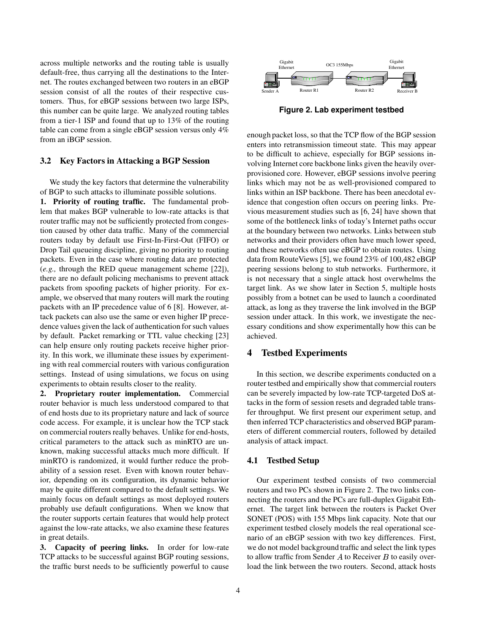across multiple networks and the routing table is usually default-free, thus carrying all the destinations to the Internet. The routes exchanged between two routers in an eBGP session consist of all the routes of their respective customers. Thus, for eBGP sessions between two large ISPs, this number can be quite large. We analyzed routing tables from a tier-1 ISP and found that up to 13% of the routing table can come from a single eBGP session versus only 4% from an iBGP session.

#### **3.2 Key Factors in Attacking a BGP Session**

We study the key factors that determine the vulnerability of BGP to such attacks to illuminate possible solutions.

**1. Priority of routing traffic.** The fundamental problem that makes BGP vulnerable to low-rate attacks is that router traffic may not be sufficiently protected from congestion caused by other data traffic. Many of the commercial routers today by default use First-In-First-Out (FIFO) or Drop Tail queueing discipline, giving no priority to routing packets. Even in the case where routing data are protected (*e.g.,* through the RED queue management scheme [22]), there are no default policing mechanisms to prevent attack packets from spoofing packets of higher priority. For example, we observed that many routers will mark the routing packets with an IP precedence value of 6 [8]. However, attack packets can also use the same or even higher IP precedence values given the lack of authentication for such values by default. Packet remarking or TTL value checking [23] can help ensure only routing packets receive higher priority. In this work, we illuminate these issues by experimenting with real commercial routers with various configuration settings. Instead of using simulations, we focus on using experiments to obtain results closer to the reality.

**2. Proprietary router implementation.** Commercial router behavior is much less understood compared to that of end hosts due to its proprietary nature and lack of source code access. For example, it is unclear how the TCP stack on commercial routers really behaves. Unlike for end-hosts, critical parameters to the attack such as minRTO are unknown, making successful attacks much more difficult. If minRTO is randomized, it would further reduce the probability of a session reset. Even with known router behavior, depending on its configuration, its dynamic behavior may be quite different compared to the default settings. We mainly focus on default settings as most deployed routers probably use default configurations. When we know that the router supports certain features that would help protect against the low-rate attacks, we also examine these features in great details.

**3. Capacity of peering links.** In order for low-rate TCP attacks to be successful against BGP routing sessions, the traffic burst needs to be sufficiently powerful to cause



**Figure 2. Lab experiment testbed**

enough packet loss, so that the TCP flow of the BGP session enters into retransmission timeout state. This may appear to be difficult to achieve, especially for BGP sessions involving Internet core backbone links given the heavily overprovisioned core. However, eBGP sessions involve peering links which may not be as well-provisioned compared to links within an ISP backbone. There has been anecdotal evidence that congestion often occurs on peering links. Previous measurement studies such as [6, 24] have shown that some of the bottleneck links of today's Internet paths occur at the boundary between two networks. Links between stub networks and their providers often have much lower speed, and these networks often use eBGP to obtain routes. Using data from RouteViews [5], we found 23% of 100,482 eBGP peering sessions belong to stub networks. Furthermore, it is not necessary that a single attack host overwhelms the target link. As we show later in Section 5, multiple hosts possibly from a botnet can be used to launch a coordinated attack, as long as they traverse the link involved in the BGP session under attack. In this work, we investigate the necessary conditions and show experimentally how this can be achieved.

# **4 Testbed Experiments**

In this section, we describe experiments conducted on a router testbed and empirically show that commercial routers can be severely impacted by low-rate TCP-targeted DoS attacks in the form of session resets and degraded table transfer throughput. We first present our experiment setup, and then inferred TCP characteristics and observed BGP parameters of different commercial routers, followed by detailed analysis of attack impact.

### **4.1 Testbed Setup**

Our experiment testbed consists of two commercial routers and two PCs shown in Figure 2. The two links connecting the routers and the PCs are full-duplex Gigabit Ethernet. The target link between the routers is Packet Over SONET (POS) with 155 Mbps link capacity. Note that our experiment testbed closely models the real operational scenario of an eBGP session with two key differences. First, we do not model background traffic and select the link types to allow traffic from Sender  $A$  to Receiver  $B$  to easily overload the link between the two routers. Second, attack hosts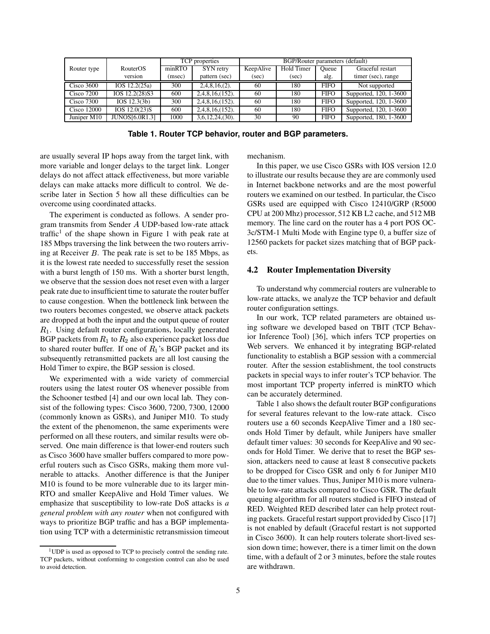|                   |                       | TCP properties |                     | BGP/Router parameters (default) |            |             |                        |
|-------------------|-----------------------|----------------|---------------------|---------------------------------|------------|-------------|------------------------|
| Router type       | <b>RouterOS</b>       | minRTO         | SYN retry           | KeepAlive                       | Hold Timer | Oueue       | Graceful restart       |
|                   | version               | (msec)         | pattern (sec)       | (sec)                           | (sec)      | alg.        | timer (sec), range     |
| Cisco 3600        | IOS 12.2(25a)         | 300            | $2,4,8,16,(2)$ .    | 60                              | 180        | <b>FIFO</b> | Not supported          |
| <b>Cisco 7200</b> | IOS 12.2(28)S3        | 600            | $2,4,8,16, (152)$ . | 60                              | 180        | <b>FIFO</b> | Supported, 120, 1-3600 |
| <b>Cisco 7300</b> | IOS 12.3(3b)          | 300            | $2,4,8,16, (152)$ . | 60                              | 180        | <b>FIFO</b> | Supported, 120, 1-3600 |
| Cisco 12000       | IOS 12.0(23)S         | 600            | $2,4,8,16, (152)$ . | 60                              | 180        | <b>FIFO</b> | Supported, 120, 1-3600 |
| Juniper M10       | <b>JUNOS[6.0R1.3]</b> | 1000           | $3,6,12,24,30$ .    | 30                              | 90         | <b>FIFO</b> | Supported, 180, 1-3600 |

**Table 1. Router TCP behavior, router and BGP parameters.**

are usually several IP hops away from the target link, with more variable and longer delays to the target link. Longer delays do not affect attack effectiveness, but more variable delays can make attacks more difficult to control. We describe later in Section 5 how all these difficulties can be overcome using coordinated attacks.

The experiment is conducted as follows. A sender program transmits from Sender  $A$  UDP-based low-rate attack traffic<sup>1</sup> of the shape shown in Figure 1 with peak rate at 185 Mbps traversing the link between the two routers arriving at Receiver  $B$ . The peak rate is set to be 185 Mbps, as it is the lowest rate needed to successfully reset the session with a burst length of 150 ms. With a shorter burst length, we observe that the session does not reset even with a larger peak rate due to insufficient time to saturate the router buffer to cause congestion. When the bottleneck link between the two routers becomes congested, we observe attack packets are dropped at both the input and the output queue of router  $R_1$ . Using default router configurations, locally generated BGP packets from  $R_1$  to  $R_2$  also experience packet loss due to shared router buffer. If one of  $R_1$ 's BGP packet and its subsequently retransmitted packets are all lost causing the Hold Timer to expire, the BGP session is closed.

We experimented with a wide variety of commercial routers using the latest router OS whenever possible from the Schooner testbed [4] and our own local lab. They consist of the following types: Cisco 3600, 7200, 7300, 12000 (commonly known as GSRs), and Juniper M10. To study the extent of the phenomenon, the same experiments were performed on all these routers, and similar results were observed. One main difference is that lower-end routers such as Cisco 3600 have smaller buffers compared to more powerful routers such as Cisco GSRs, making them more vulnerable to attacks. Another difference is that the Juniper M10 is found to be more vulnerable due to its larger min-RTO and smaller KeepAlive and Hold Timer values. We emphasize that susceptibility to low-rate DoS attacks is *a general problem with any router* when not configured with ways to prioritize BGP traffic and has a BGP implementation using TCP with a deterministic retransmission timeout mechanism.

In this paper, we use Cisco GSRs with IOS version 12.0 to illustrate our results because they are are commonly used in Internet backbone networks and are the most powerful routers we examined on our testbed. In particular, the Cisco GSRs used are equipped with Cisco 12410/GRP (R5000 CPU at 200 Mhz) processor, 512 KB L2 cache, and 512 MB memory. The line card on the router has a 4 port POS OC-3c/STM-1 Multi Mode with Engine type 0, a buffer size of 12560 packets for packet sizes matching that of BGP packets.

#### **4.2 Router Implementation Diversity**

To understand why commercial routers are vulnerable to low-rate attacks, we analyze the TCP behavior and default router configuration settings.

In our work, TCP related parameters are obtained using software we developed based on TBIT (TCP Behavior Inference Tool) [36], which infers TCP properties on Web servers. We enhanced it by integrating BGP-related functionality to establish a BGP session with a commercial router. After the session establishment, the tool constructs packets in special ways to infer router's TCP behavior. The most important TCP property inferred is minRTO which can be accurately determined.

Table 1 also shows the default router BGP configurations for several features relevant to the low-rate attack. Cisco routers use a 60 seconds KeepAlive Timer and a 180 seconds Hold Timer by default, while Junipers have smaller default timer values: 30 seconds for KeepAlive and 90 seconds for Hold Timer. We derive that to reset the BGP session, attackers need to cause at least 8 consecutive packets to be dropped for Cisco GSR and only 6 for Juniper M10 due to the timer values. Thus, Juniper M10 is more vulnerable to low-rate attacks compared to Cisco GSR. The default queuing algorithm for all routers studied is FIFO instead of RED. Weighted RED described later can help protect routing packets. Graceful restart support provided by Cisco [17] is not enabled by default (Graceful restart is not supported in Cisco 3600). It can help routers tolerate short-lived session down time; however, there is a timer limit on the down time, with a default of 2 or 3 minutes, before the stale routes are withdrawn.

<sup>&</sup>lt;sup>1</sup>UDP is used as opposed to TCP to precisely control the sending rate. TCP packets, without conforming to congestion control can also be used to avoid detection.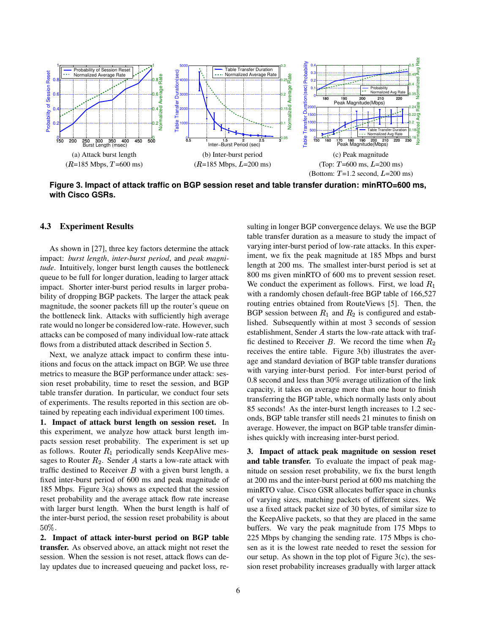

**Figure 3. Impact of attack traffic on BGP session reset and table transfer duration: minRTO=600 ms, with Cisco GSRs.**

#### **4.3 Experiment Results**

As shown in [27], three key factors determine the attack impact: *burst length*, *inter-burst period*, and *peak magnitude*. Intuitively, longer burst length causes the bottleneck queue to be full for longer duration, leading to larger attack impact. Shorter inter-burst period results in larger probability of dropping BGP packets. The larger the attack peak magnitude, the sooner packets fill up the router's queue on the bottleneck link. Attacks with sufficiently high average rate would no longer be considered low-rate. However, such attacks can be composed of many individual low-rate attack flows from a distributed attack described in Section 5.

Next, we analyze attack impact to confirm these intuitions and focus on the attack impact on BGP. We use three metrics to measure the BGP performance under attack: session reset probability, time to reset the session, and BGP table transfer duration. In particular, we conduct four sets of experiments. The results reported in this section are obtained by repeating each individual experiment 100 times.

**1. Impact of attack burst length on session reset.** In this experiment, we analyze how attack burst length impacts session reset probability. The experiment is set up as follows. Router  $R_1$  periodically sends KeepAlive messages to Router  $R_2$ . Sender A starts a low-rate attack with traffic destined to Receiver  $B$  with a given burst length, a fixed inter-burst period of 600 ms and peak magnitude of 185 Mbps. Figure 3(a) shows as expected that the session reset probability and the average attack flow rate increase with larger burst length. When the burst length is half of the inter-burst period, the session reset probability is about 50%.

**2. Impact of attack inter-burst period on BGP table transfer.** As observed above, an attack might not reset the session. When the session is not reset, attack flows can delay updates due to increased queueing and packet loss, resulting in longer BGP convergence delays. We use the BGP table transfer duration as a measure to study the impact of varying inter-burst period of low-rate attacks. In this experiment, we fix the peak magnitude at 185 Mbps and burst length at 200 ms. The smallest inter-burst period is set at 800 ms given minRTO of 600 ms to prevent session reset. We conduct the experiment as follows. First, we load  $R_1$ with a randomly chosen default-free BGP table of 166,527 routing entries obtained from RouteViews [5]. Then, the BGP session between  $R_1$  and  $R_2$  is configured and established. Subsequently within at most 3 seconds of session establishment, Sender  $A$  starts the low-rate attack with traffic destined to Receiver B. We record the time when  $R_2$ receives the entire table. Figure 3(b) illustrates the average and standard deviation of BGP table transfer durations with varying inter-burst period. For inter-burst period of 0.8 second and less than 30% average utilization of the link capacity, it takes on average more than one hour to finish transferring the BGP table, which normally lasts only about 85 seconds! As the inter-burst length increases to 1.2 seconds, BGP table transfer still needs 21 minutes to finish on average. However, the impact on BGP table transfer diminishes quickly with increasing inter-burst period.

**3. Impact of attack peak magnitude on session reset and table transfer.** To evaluate the impact of peak magnitude on session reset probability, we fix the burst length at 200 ms and the inter-burst period at 600 ms matching the minRTO value. Cisco GSR allocates buffer space in chunks of varying sizes, matching packets of different sizes. We use a fixed attack packet size of 30 bytes, of similar size to the KeepAlive packets, so that they are placed in the same buffers. We vary the peak magnitude from 175 Mbps to 225 Mbps by changing the sending rate. 175 Mbps is chosen as it is the lowest rate needed to reset the session for our setup. As shown in the top plot of Figure  $3(c)$ , the session reset probability increases gradually with larger attack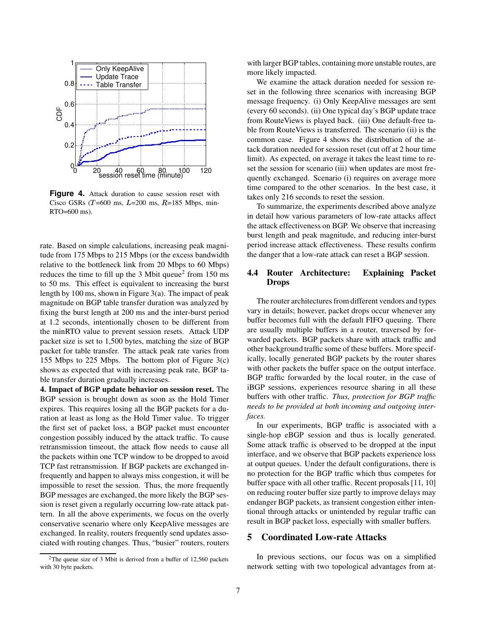

**Figure 4.** Attack duration to cause session reset with Cisco GSRs ( $T=600$  ms,  $L=200$  ms,  $R=185$  Mbps, min-RTO=600 ms).

rate. Based on simple calculations, increasing peak magnitude from 175 Mbps to 215 Mbps (or the excess bandwidth relative to the bottleneck link from 20 Mbps to 60 Mbps) reduces the time to fill up the  $3$  Mbit queue<sup>2</sup> from 150 ms to 50 ms. This effect is equivalent to increasing the burst length by 100 ms, shown in Figure 3(a). The impact of peak magnitude on BGP table transfer duration was analyzed by fixing the burst length at 200 ms and the inter-burst period at 1.2 seconds, intentionally chosen to be different from the minRTO value to prevent session resets. Attack UDP packet size is set to 1,500 bytes, matching the size of BGP packet for table transfer. The attack peak rate varies from 155 Mbps to 225 Mbps. The bottom plot of Figure 3(c) shows as expected that with increasing peak rate, BGP table transfer duration gradually increases.

**4. Impact of BGP update behavior on session reset.** The BGP session is brought down as soon as the Hold Timer expires. This requires losing all the BGP packets for a duration at least as long as the Hold Timer value. To trigger the first set of packet loss, a BGP packet must encounter congestion possibly induced by the attack traffic. To cause retransmission timeout, the attack flow needs to cause all the packets within one TCP window to be dropped to avoid TCP fast retransmission. If BGP packets are exchanged infrequently and happen to always miss congestion, it will be impossible to reset the session. Thus, the more frequently BGP messages are exchanged, the more likely the BGP session is reset given a regularly occurring low-rate attack pattern. In all the above experiments, we focus on the overly conservative scenario where only KeepAlive messages are exchanged. In reality, routers frequently send updates associated with routing changes. Thus, "busier" routers, routers

<sup>2</sup>The queue size of 3 Mbit is derived from a buffer of 12,560 packets with 30 byte packets.

with larger BGP tables, containing more unstable routes, are more likely impacted.

We examine the attack duration needed for session reset in the following three scenarios with increasing BGP message frequency. (i) Only KeepAlive messages are sent (every 60 seconds). (ii) One typical day's BGP update trace from RouteViews is played back. (iii) One default-free table from RouteViews is transferred. The scenario (ii) is the common case. Figure 4 shows the distribution of the attack duration needed for session reset (cut off at 2 hour time limit). As expected, on average it takes the least time to reset the session for scenario (iii) when updates are most frequently exchanged. Scenario (i) requires on average more time compared to the other scenarios. In the best case, it takes only 216 seconds to reset the session.

To summarize, the experiments described above analyze in detail how various parameters of low-rate attacks affect the attack effectiveness on BGP. We observe that increasing burst length and peak magnitude, and reducing inter-burst period increase attack effectiveness. These results confirm the danger that a low-rate attack can reset a BGP session.

## **4.4 Router Architecture: Explaining Packet Drops**

The router architectures from different vendors and types vary in details; however, packet drops occur whenever any buffer becomes full with the default FIFO queuing. There are usually multiple buffers in a router, traversed by forwarded packets. BGP packets share with attack traffic and other background traffic some of these buffers. More specifically, locally generated BGP packets by the router shares with other packets the buffer space on the output interface. BGP traffic forwarded by the local router, in the case of iBGP sessions, experiences resource sharing in all these buffers with other traffic. *Thus, protection for BGP traffic needs to be provided at both incoming and outgoing interfaces.*

In our experiments, BGP traffic is associated with a single-hop eBGP session and thus is locally generated. Some attack traffic is observed to be dropped at the input interface, and we observe that BGP packets experience loss at output queues. Under the default configurations, there is no protection for the BGP traffic which thus competes for buffer space with all other traffic. Recent proposals [11, 10] on reducing router buffer size partly to improve delays may endanger BGP packets, as transient congestion either intentional through attacks or unintended by regular traffic can result in BGP packet loss, especially with smaller buffers.

## **5 Coordinated Low-rate Attacks**

In previous sections, our focus was on a simplified network setting with two topological advantages from at-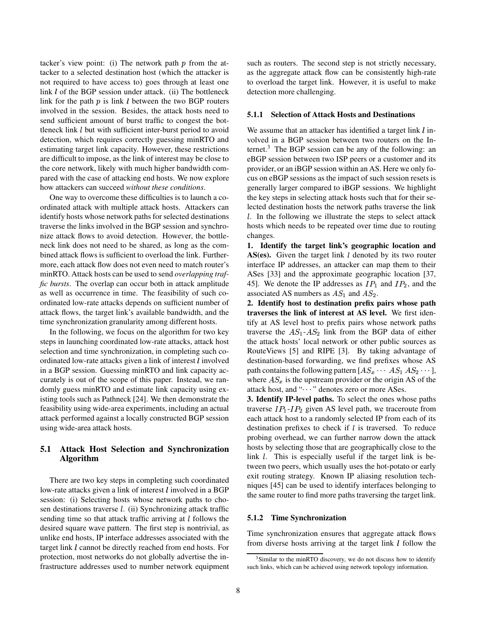tacker's view point: (i) The network path  $p$  from the attacker to a selected destination host (which the attacker is not required to have access to) goes through at least one link  $l$  of the BGP session under attack. (ii) The bottleneck link for the path  $p$  is link  $l$  between the two BGP routers involved in the session. Besides, the attack hosts need to send sufficient amount of burst traffic to congest the bottleneck link  $l$  but with sufficient inter-burst period to avoid detection, which requires correctly guessing minRTO and estimating target link capacity. However, these restrictions are difficult to impose, as the link of interest may be close to the core network, likely with much higher bandwidth compared with the case of attacking end hosts. We now explore how attackers can succeed *without these conditions*.

One way to overcome these difficulties is to launch a coordinated attack with multiple attack hosts. Attackers can identify hosts whose network paths for selected destinations traverse the links involved in the BGP session and synchronize attack flows to avoid detection. However, the bottleneck link does not need to be shared, as long as the combined attack flows is sufficient to overload the link. Furthermore, each attack flow does not even need to match router's minRTO. Attack hosts can be used to send *overlapping traffic bursts*. The overlap can occur both in attack amplitude as well as occurrence in time. The feasibility of such coordinated low-rate attacks depends on sufficient number of attack flows, the target link's available bandwidth, and the time synchronization granularity among different hosts.

In the following, we focus on the algorithm for two key steps in launching coordinated low-rate attacks, attack host selection and time synchronization, in completing such coordinated low-rate attacks given a link of interest  $l$  involved in a BGP session. Guessing minRTO and link capacity accurately is out of the scope of this paper. Instead, we randomly guess minRTO and estimate link capacity using existing tools such as Pathneck [24]. We then demonstrate the feasibility using wide-area experiments, including an actual attack performed against a locally constructed BGP session using wide-area attack hosts.

# **5.1 Attack Host Selection and Synchronization Algorithm**

There are two key steps in completing such coordinated low-rate attacks given a link of interest  $l$  involved in a BGP session: (i) Selecting hosts whose network paths to chosen destinations traverse  $l$ . (ii) Synchronizing attack traffic sending time so that attack traffic arriving at  $l$  follows the desired square wave pattern. The first step is nontrivial, as unlike end hosts, IP interface addresses associated with the target link  $l$  cannot be directly reached from end hosts. For protection, most networks do not globally advertise the infrastructure addresses used to number network equipment such as routers. The second step is not strictly necessary, as the aggregate attack flow can be consistently high-rate to overload the target link. However, it is useful to make detection more challenging.

#### **5.1.1 Selection of Attack Hosts and Destinations**

We assume that an attacker has identified a target link  $l$  involved in a BGP session between two routers on the Internet.<sup>3</sup> The BGP session can be any of the following: an eBGP session between two ISP peers or a customer and its provider, or an iBGP session within an AS. Here we only focus on eBGP sessions as the impact of such session resets is generally larger compared to iBGP sessions. We highlight the key steps in selecting attack hosts such that for their selected destination hosts the network paths traverse the link . In the following we illustrate the steps to select attack hosts which needs to be repeated over time due to routing changes.

**1. Identify the target link's geographic location and AS(es).** Given the target link  $l$  denoted by its two router interface IP addresses, an attacker can map them to their ASes [33] and the approximate geographic location [37, 45]. We denote the IP addresses as  $IP_1$  and  $IP_2$ , and the associated AS numbers as  $AS_1$  and  $AS_2$ .

**2. Identify host to destination prefix pairs whose path traverses the link of interest at AS level.** We first identify at AS level host to prefix pairs whose network paths traverse the  $AS_1$ - $AS_2$  link from the BGP data of either the attack hosts' local network or other public sources as RouteViews [5] and RIPE [3]. By taking advantage of destination-based forwarding, we find prefixes whose AS path contains the following pattern  $[AS_x \cdots AS_1 AS_2 \cdots]$ , where  $AS_x$  is the upstream provider or the origin AS of the attack host, and " ··· " denotes zero or more ASes.

**3. Identify IP-level paths.** To select the ones whose paths traverse  $IP_1$ - $IP_2$  given AS level path, we traceroute from each attack host to a randomly selected IP from each of its destination prefixes to check if  $l$  is traversed. To reduce probing overhead, we can further narrow down the attack hosts by selecting those that are geographically close to the link  $l$ . This is especially useful if the target link is between two peers, which usually uses the hot-potato or early exit routing strategy. Known IP aliasing resolution techniques [45] can be used to identify interfaces belonging to the same router to find more paths traversing the target link.

#### **5.1.2 Time Synchronization**

Time synchronization ensures that aggregate attack flows from diverse hosts arriving at the target link  $l$  follow the

<sup>&</sup>lt;sup>3</sup>Similar to the minRTO discovery, we do not discuss how to identify such links, which can be achieved using network topology information.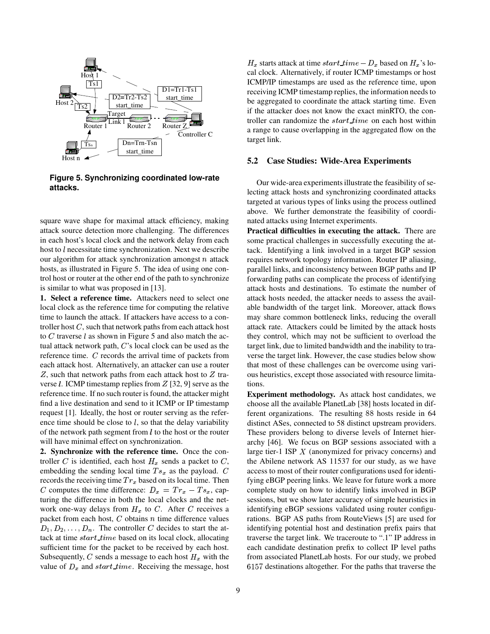

**Figure 5. Synchronizing coordinated low-rate attacks.**

square wave shape for maximal attack efficiency, making attack source detection more challenging. The differences in each host's local clock and the network delay from each host to  $l$  necessitate time synchronization. Next we describe our algorithm for attack synchronization amongst  $n$  attack hosts, as illustrated in Figure 5. The idea of using one control host or router at the other end of the path to synchronize is similar to what was proposed in [13].

**1. Select a reference time.** Attackers need to select one local clock as the reference time for computing the relative time to launch the attack. If attackers have access to a controller host  $C$ , such that network paths from each attack host to  $C$  traverse  $l$  as shown in Figure 5 and also match the actual attack network path,  $C$ 's local clock can be used as the reference time.  $C$  records the arrival time of packets from each attack host. Alternatively, an attacker can use a router Z, such that network paths from each attack host to  $Z$  tra- ous h verse  $l$ . ICMP timestamp replies from  $Z$  [32, 9] serve as the reference time. If no such router is found, the attacker might find a live destination and send to it ICMP or IP timestamp request [1]. Ideally, the host or router serving as the reference time should be close to  $l$ , so that the delay variability of the network path segment from  $l$  to the host or the router will have minimal effect on synchronization.

**2. Synchronize with the reference time.** Once the controller  $C$  is identified, each host  $H_x$  sends a packet to  $C$ , embedding the sending local time  $Ts_x$  as the payload.  $C$  access to r records the receiving time  $Tr_x$  based on its local time. Then C computes the time difference:  $D_x = Tr_x - Ts_x$ , capturing the difference in both the local clocks and the network one-way delays from  $H_x$  to C. After C receives a packet from each host,  $C$  obtains  $n$  time difference values  $D_1, D_2, \ldots, D_n$ . The controller C decides to start the attack at time  $start_time$  based on its local clock, allocating sufficient time for the packet to be received by each host. Subsequently, C sends a message to each host  $H_x$  with the value of  $D_x$  and start\_time. Receiving the message, host

 $H_x$  starts attack at time  $start\_time - D_x$  based on  $H_x$ 's local clock. Alternatively, if router ICMP timestamps or host ICMP/IP timestamps are used as the reference time, upon receiving ICMP timestamp replies, the information needs to be aggregated to coordinate the attack starting time. Even if the attacker does not know the exact minRTO, the controller can randomize the  $start_time$  on each host within a range to cause overlapping in the aggregated flow on the target link.

#### **5.2 Case Studies: Wide-Area Experiments**

Our wide-area experimentsillustrate the feasibility of selecting attack hosts and synchronizing coordinated attacks targeted at various types of links using the process outlined above. We further demonstrate the feasibility of coordinated attacks using Internet experiments.

**Practical difficulties in executing the attack.** There are some practical challenges in successfully executing the attack. Identifying a link involved in a target BGP session requires network topology information. Router IP aliasing, parallel links, and inconsistency between BGP paths and IP forwarding paths can complicate the process of identifying attack hosts and destinations. To estimate the number of attack hosts needed, the attacker needs to assess the available bandwidth of the target link. Moreover, attack flows may share common bottleneck links, reducing the overall attack rate. Attackers could be limited by the attack hosts they control, which may not be sufficient to overload the target link, due to limited bandwidth and the inability to traverse the target link. However, the case studies below show that most of these challenges can be overcome using various heuristics, except those associated with resource limitations.

**Experiment methodology.** As attack host candidates, we choose all the available PlanetLab [38] hosts located in different organizations. The resulting 88 hosts reside in 64 distinct ASes, connected to 58 distinct upstream providers. These providers belong to diverse levels of Internet hierarchy [46]. We focus on BGP sessions associated with a large tier-1 ISP  $X$  (anonymized for privacy concerns) and the Abilene network AS 11537 for our study, as we have access to most of their router configurations used for identifying eBGP peering links. We leave for future work a more complete study on how to identify links involved in BGP sessions, but we show later accuracy of simple heuristics in identifying eBGP sessions validated using router configurations. BGP AS paths from RouteViews [5] are used for identifying potential host and destination prefix pairs that traverse the target link. We traceroute to ".1" IP address in each candidate destination prefix to collect IP level paths from associated PlanetLab hosts. For our study, we probed 6157 destinations altogether. For the paths that traverse the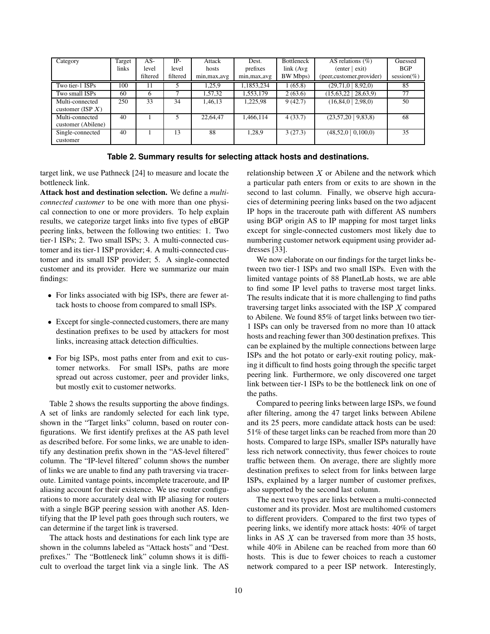| Category                               | Target<br>links | AS-<br>level<br>filtered | IP-<br>level<br>filtered | Attack<br>hosts<br>min, max, avg | Dest.<br>prefixes<br>min, max, avg | <b>Bottleneck</b><br>link(Avg)<br>BW Mbps) | AS relations $(\% )$<br>$($ enter $ $ exit)<br>(peer, customer, provider) | Guessed<br><b>BGP</b><br>session(%) |
|----------------------------------------|-----------------|--------------------------|--------------------------|----------------------------------|------------------------------------|--------------------------------------------|---------------------------------------------------------------------------|-------------------------------------|
| Two tier-1 ISPs                        | 100             | 11                       |                          | 1,25,9                           | 1,1853,234                         | 1(65.8)                                    | 8,92,0<br>(29, 71, 0)                                                     | 85                                  |
| Two small ISPs                         | 60              | 6                        |                          | 1,57,32                          | 1,553,179                          | 2(63.6)                                    | (15, 63, 22)<br>28,63,9                                                   | 77                                  |
| Multi-connected<br>customer (ISP $X$ ) | 250             | 33                       | 34                       | 1,46,13                          | 1,225,98                           | 9(42.7)                                    | $(16, 84, 0 \mid 2, 98, 0)$                                               | 50                                  |
| Multi-connected<br>customer (Abilene)  | 40              |                          |                          | 22,64,47                         | 1,466,114                          | 4(33.7)                                    | (23,57,20   9,83,8)                                                       | 68                                  |
| Single-connected<br>customer           | 40              |                          | 13                       | 88                               | 1,28,9                             | 3(27.3)                                    | $(48,52,0 \mid 0,100,0)$                                                  | 35                                  |

**Table 2. Summary results for selecting attack hosts and destinations.**

target link, we use Pathneck [24] to measure and locate the bottleneck link.

**Attack host and destination selection.** We define a *multiconnected customer* to be one with more than one physical connection to one or more providers. To help explain results, we categorize target links into five types of eBGP peering links, between the following two entities: 1. Two tier-1 ISPs; 2. Two small ISPs; 3. A multi-connected customer and its tier-1 ISP provider; 4. A multi-connected customer and its small ISP provider; 5. A single-connected customer and its provider. Here we summarize our main findings:

- For links associated with big ISPs, there are fewer attack hosts to choose from compared to small ISPs.
- Except for single-connected customers, there are many destination prefixes to be used by attackers for most links, increasing attack detection difficulties.
- For big ISPs, most paths enter from and exit to customer networks. For small ISPs, paths are more spread out across customer, peer and provider links, but mostly exit to customer networks.

Table 2 shows the results supporting the above findings. A set of links are randomly selected for each link type, shown in the "Target links" column, based on router configurations. We first identify prefixes at the AS path level as described before. For some links, we are unable to identify any destination prefix shown in the "AS-level filtered" column. The "IP-level filtered" column shows the number of links we are unable to find any path traversing via traceroute. Limited vantage points, incomplete traceroute, and IP aliasing account for their existence. We use router configurations to more accurately deal with IP aliasing for routers with a single BGP peering session with another AS. Identifying that the IP level path goes through such routers, we can determine if the target link is traversed.

The attack hosts and destinations for each link type are shown in the columns labeled as "Attack hosts" and "Dest. prefixes." The "Bottleneck link" column shows it is difficult to overload the target link via a single link. The AS relationship between  $X$  or Abilene and the network which a particular path enters from or exits to are shown in the second to last column. Finally, we observe high accuracies of determining peering links based on the two adjacent IP hops in the traceroute path with different AS numbers using BGP origin AS to IP mapping for most target links except for single-connected customers most likely due to numbering customer network equipment using provider addresses [33].

We now elaborate on our findings for the target links between two tier-1 ISPs and two small ISPs. Even with the limited vantage points of 88 PlanetLab hosts, we are able to find some IP level paths to traverse most target links. The results indicate that it is more challenging to find paths traversing target links associated with the ISP  $X$  compared to Abilene. We found 85% of target links between two tier-1 ISPs can only be traversed from no more than 10 attack hosts and reaching fewer than 300 destination prefixes. This can be explained by the multiple connections between large ISPs and the hot potato or early-exit routing policy, making it difficult to find hosts going through the specific target peering link. Furthermore, we only discovered one target link between tier-1 ISPs to be the bottleneck link on one of the paths.

Compared to peering links between large ISPs, we found after filtering, among the 47 target links between Abilene and its 25 peers, more candidate attack hosts can be used: 51% of these target links can be reached from more than 20 hosts. Compared to large ISPs, smaller ISPs naturally have less rich network connectivity, thus fewer choices to route traffic between them. On average, there are slightly more destination prefixes to select from for links between large ISPs, explained by a larger number of customer prefixes, also supported by the second last column.

The next two types are links between a multi-connected customer and its provider. Most are multihomed customers to different providers. Compared to the first two types of peering links, we identify more attack hosts: 40% of target links in AS  $X$  can be traversed from more than 35 hosts, while 40% in Abilene can be reached from more than 60 hosts. This is due to fewer choices to reach a customer network compared to a peer ISP network. Interestingly,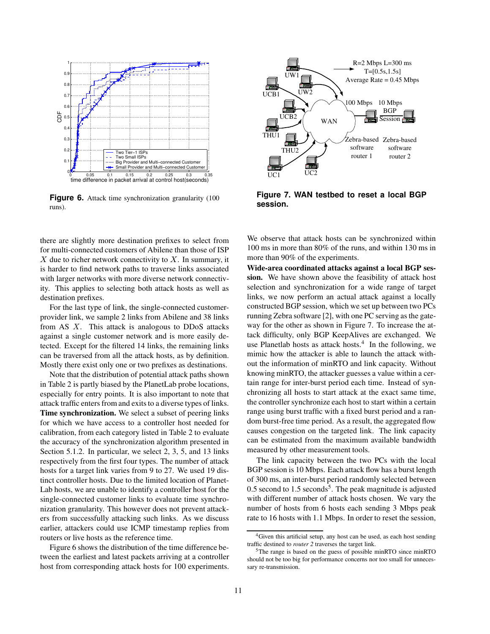

**Figure 6.** Attack time synchronization granularity (100) runs).

there are slightly more destination prefixes to select from for multi-connected customers of Abilene than those of ISP  $X$  due to richer network connectivity to  $X$ . In summary, it is harder to find network paths to traverse links associated with larger networks with more diverse network connectivity. This applies to selecting both attack hosts as well as destination prefixes.

For the last type of link, the single-connected customerprovider link, we sample 2 links from Abilene and 38 links from AS  $X$ . This attack is analogous to DDoS attacks against a single customer network and is more easily detected. Except for the filtered 14 links, the remaining links can be traversed from all the attack hosts, as by definition. Mostly there exist only one or two prefixes as destinations.

Note that the distribution of potential attack paths shown in Table 2 is partly biased by the PlanetLab probe locations, especially for entry points. It is also important to note that attack traffic enters from and exits to a diverse types of links. **Time synchronization.** We select a subset of peering links for which we have access to a controller host needed for calibration, from each category listed in Table 2 to evaluate the accuracy of the synchronization algorithm presented in Section 5.1.2. In particular, we select 2, 3, 5, and 13 links respectively from the first four types. The number of attack hosts for a target link varies from 9 to 27. We used 19 distinct controller hosts. Due to the limited location of Planet-Lab hosts, we are unable to identify a controller host for the single-connected customer links to evaluate time synchronization granularity. This however does not prevent attackers from successfully attacking such links. As we discuss earlier, attackers could use ICMP timestamp replies from routers or live hosts as the reference time.

Figure 6 shows the distribution of the time difference between the earliest and latest packets arriving at a controller host from corresponding attack hosts for 100 experiments.



**Figure 7. WAN testbed to reset a local BGP session.**

We observe that attack hosts can be synchronized within 100 ms in more than 80% of the runs, and within 130 ms in more than 90% of the experiments.

**Wide-area coordinated attacks against a local BGP session.** We have shown above the feasibility of attack host selection and synchronization for a wide range of target links, we now perform an actual attack against a locally constructed BGP session, which we set up between two PCs running Zebra software [2], with one PC serving as the gateway for the other as shown in Figure 7. To increase the attack difficulty, only BGP KeepAlives are exchanged. We use Planetlab hosts as attack hosts. $4$  In the following, we mimic how the attacker is able to launch the attack without the information of minRTO and link capacity. Without knowing minRTO, the attacker guesses a value within a certain range for inter-burst period each time. Instead of synchronizing all hosts to start attack at the exact same time, the controller synchronize each host to start within a certain range using burst traffic with a fixed burst period and a random burst-free time period. As a result, the aggregated flow causes congestion on the targeted link. The link capacity can be estimated from the maximum available bandwidth measured by other measurement tools.

The link capacity between the two PCs with the local BGP session is 10 Mbps. Each attack flow has a burst length of 300 ms, an inter-burst period randomly selected between 0.5 second to  $1.5$  seconds<sup>5</sup>. The peak magnitude is adjusted with different number of attack hosts chosen. We vary the number of hosts from 6 hosts each sending 3 Mbps peak rate to 16 hosts with 1.1 Mbps. In order to reset the session,

<sup>4</sup>Given this artificial setup, any host can be used, as each host sending traffic destined to *router 2* traverses the target link.

<sup>5</sup>The range is based on the guess of possible minRTO since minRTO should not be too big for performance concerns nor too small for unnecessary re-transmission.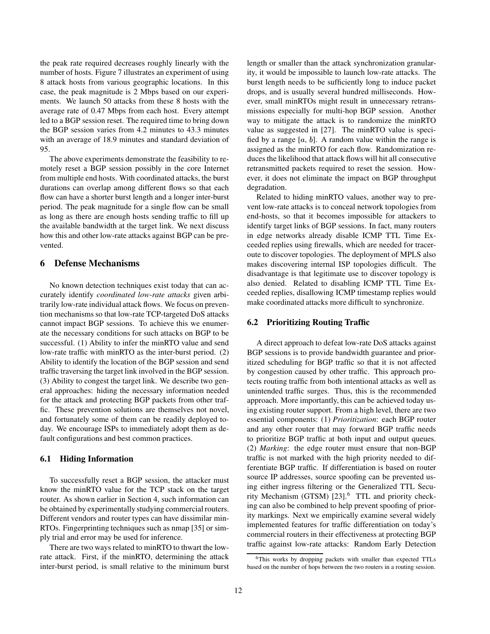the peak rate required decreases roughly linearly with the number of hosts. Figure 7 illustrates an experiment of using 8 attack hosts from various geographic locations. In this case, the peak magnitude is 2 Mbps based on our experiments. We launch 50 attacks from these 8 hosts with the average rate of 0.47 Mbps from each host. Every attempt led to a BGP session reset. The required time to bring down the BGP session varies from 4.2 minutes to 43.3 minutes with an average of 18.9 minutes and standard deviation of 95.

The above experiments demonstrate the feasibility to remotely reset a BGP session possibly in the core Internet from multiple end hosts. With coordinated attacks, the burst durations can overlap among different flows so that each flow can have a shorter burst length and a longer inter-burst period. The peak magnitude for a single flow can be small as long as there are enough hosts sending traffic to fill up the available bandwidth at the target link. We next discuss how this and other low-rate attacks against BGP can be prevented.

# **6 Defense Mechanisms**

No known detection techniques exist today that can accurately identify *coordinated low-rate attacks* given arbitrarily low-rate individual attack flows. We focus on prevention mechanisms so that low-rate TCP-targeted DoS attacks cannot impact BGP sessions. To achieve this we enumerate the necessary conditions for such attacks on BGP to be successful. (1) Ability to infer the minRTO value and send low-rate traffic with minRTO as the inter-burst period. (2) Ability to identify the location of the BGP session and send traffic traversing the target link involved in the BGP session. (3) Ability to congest the target link. We describe two general approaches: hiding the necessary information needed for the attack and protecting BGP packets from other traffic. These prevention solutions are themselves not novel, and fortunately some of them can be readily deployed today. We encourage ISPs to immediately adopt them as default configurations and best common practices.

#### **6.1 Hiding Information**

To successfully reset a BGP session, the attacker must know the minRTO value for the TCP stack on the target router. As shown earlier in Section 4, such information can be obtained by experimentally studying commercial routers. Different vendors and router types can have dissimilar min-RTOs. Fingerprinting techniques such as nmap [35] or simply trial and error may be used for inference.

There are two ways related to minRTO to thwart the lowrate attack. First, if the minRTO, determining the attack inter-burst period, is small relative to the minimum burst length or smaller than the attack synchronization granularity, it would be impossible to launch low-rate attacks. The burst length needs to be sufficiently long to induce packet drops, and is usually several hundred milliseconds. However, small minRTOs might result in unnecessary retransmissions especially for multi-hop BGP session. Another way to mitigate the attack is to randomize the minRTO value as suggested in [27]. The minRTO value is specified by a range  $[a, b]$ . A random value within the range is assigned as the minRTO for each flow. Randomization reduces the likelihood that attack flows will hit all consecutive retransmitted packets required to reset the session. However, it does not eliminate the impact on BGP throughput degradation.

Related to hiding minRTO values, another way to prevent low-rate attacks is to conceal network topologies from end-hosts, so that it becomes impossible for attackers to identify target links of BGP sessions. In fact, many routers in edge networks already disable ICMP TTL Time Exceeded replies using firewalls, which are needed for traceroute to discover topologies. The deployment of MPLS also makes discovering internal ISP topologies difficult. The disadvantage is that legitimate use to discover topology is also denied. Related to disabling ICMP TTL Time Exceeded replies, disallowing ICMP timestamp replies would make coordinated attacks more difficult to synchronize.

#### **6.2 Prioritizing Routing Traffic**

A direct approach to defeat low-rate DoS attacks against BGP sessions is to provide bandwidth guarantee and prioritized scheduling for BGP traffic so that it is not affected by congestion caused by other traffic. This approach protects routing traffic from both intentional attacks as well as unintended traffic surges. Thus, this is the recommended approach. More importantly, this can be achieved today using existing router support. From a high level, there are two essential components: (1) *Prioritization*: each BGP router and any other router that may forward BGP traffic needs to prioritize BGP traffic at both input and output queues. (2) *Marking*: the edge router must ensure that non-BGP traffic is not marked with the high priority needed to differentiate BGP traffic. If differentiation is based on router source IP addresses, source spoofing can be prevented using either ingress filtering or the Generalized TTL Security Mechanism (GTSM) [23].<sup>6</sup> TTL and priority checking can also be combined to help prevent spoofing of priority markings. Next we empirically examine several widely implemented features for traffic differentiation on today's commercial routers in their effectiveness at protecting BGP traffic against low-rate attacks: Random Early Detection

<sup>6</sup>This works by dropping packets with smaller than expected TTLs based on the number of hops between the two routers in a routing session.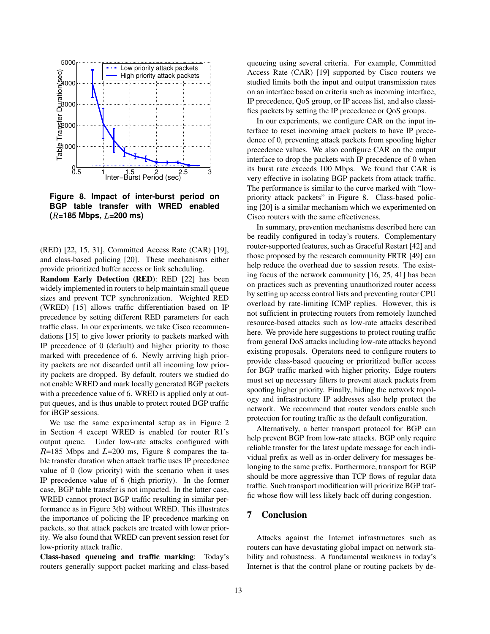

**Figure 8. Impact of inter-burst period on BGP table transfer with WRED enabled ( =185 Mbps, =200 ms)**

(RED) [22, 15, 31], Committed Access Rate (CAR) [19], and class-based policing [20]. These mechanisms either provide prioritized buffer access or link scheduling.

**Random Early Detection (RED)**: RED [22] has been widely implemented in routers to help maintain small queue sizes and prevent TCP synchronization. Weighted RED (WRED) [15] allows traffic differentiation based on IP precedence by setting different RED parameters for each traffic class. In our experiments, we take Cisco recommendations [15] to give lower priority to packets marked with IP precedence of 0 (default) and higher priority to those marked with precedence of 6. Newly arriving high priority packets are not discarded until all incoming low priority packets are dropped. By default, routers we studied do not enable WRED and mark locally generated BGP packets with a precedence value of 6. WRED is applied only at output queues, and is thus unable to protect routed BGP traffic for iBGP sessions.

We use the same experimental setup as in Figure 2 in Section 4 except WRED is enabled for router R1's output queue. Under low-rate attacks configured with  $R=185$  Mbps and  $L=200$  ms, Figure 8 compares the table transfer duration when attack traffic uses IP precedence value of 0 (low priority) with the scenario when it uses IP precedence value of 6 (high priority). In the former case, BGP table transfer is not impacted. In the latter case, WRED cannot protect BGP traffic resulting in similar performance as in Figure 3(b) without WRED. This illustrates the importance of policing the IP precedence marking on packets, so that attack packets are treated with lower priority. We also found that WRED can prevent session reset for low-priority attack traffic.

**Class-based queueing and traffic marking**: Today's routers generally support packet marking and class-based

queueing using several criteria. For example, Committed Access Rate (CAR) [19] supported by Cisco routers we studied limits both the input and output transmission rates on an interface based on criteria such as incoming interface, IP precedence, QoS group, or IP access list, and also classifies packets by setting the IP precedence or QoS groups.

In our experiments, we configure CAR on the input interface to reset incoming attack packets to have IP precedence of 0, preventing attack packets from spoofing higher precedence values. We also configure CAR on the output interface to drop the packets with IP precedence of 0 when its burst rate exceeds 100 Mbps. We found that CAR is very effective in isolating BGP packets from attack traffic. The performance is similar to the curve marked with "lowpriority attack packets" in Figure 8. Class-based policing [20] is a similar mechanism which we experimented on Cisco routers with the same effectiveness.

In summary, prevention mechanisms described here can be readily configured in today's routers. Complementary router-supported features, such as Graceful Restart [42] and those proposed by the research community FRTR [49] can help reduce the overhead due to session resets. The existing focus of the network community [16, 25, 41] has been on practices such as preventing unauthorized router access by setting up access control lists and preventing router CPU overload by rate-limiting ICMP replies. However, this is not sufficient in protecting routers from remotely launched resource-based attacks such as low-rate attacks described here. We provide here suggestions to protect routing traffic from general DoS attacks including low-rate attacks beyond existing proposals. Operators need to configure routers to provide class-based queueing or prioritized buffer access for BGP traffic marked with higher priority. Edge routers must set up necessary filters to prevent attack packets from spoofing higher priority. Finally, hiding the network topology and infrastructure IP addresses also help protect the network. We recommend that router vendors enable such protection for routing traffic as the default configuration.

Alternatively, a better transport protocol for BGP can help prevent BGP from low-rate attacks. BGP only require reliable transfer for the latest update message for each individual prefix as well as in-order delivery for messages belonging to the same prefix. Furthermore, transport for BGP should be more aggressive than TCP flows of regular data traffic. Such transport modification will prioritize BGP traffic whose flow will less likely back off during congestion.

# **7 Conclusion**

Attacks against the Internet infrastructures such as routers can have devastating global impact on network stability and robustness. A fundamental weakness in today's Internet is that the control plane or routing packets by de-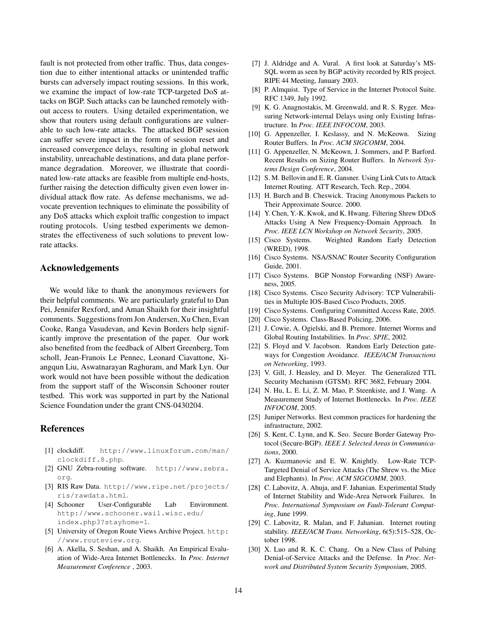fault is not protected from other traffic. Thus, data congestion due to either intentional attacks or unintended traffic bursts can adversely impact routing sessions. In this work, we examine the impact of low-rate TCP-targeted DoS attacks on BGP. Such attacks can be launched remotely without access to routers. Using detailed experimentation, we show that routers using default configurations are vulnerable to such low-rate attacks. The attacked BGP session can suffer severe impact in the form of session reset and increased convergence delays, resulting in global network instability, unreachable destinations, and data plane performance degradation. Moreover, we illustrate that coordinated low-rate attacks are feasible from multiple end-hosts, further raising the detection difficulty given even lower individual attack flow rate. As defense mechanisms, we advocate prevention techniques to eliminate the possibility of any DoS attacks which exploit traffic congestion to impact routing protocols. Using testbed experiments we demonstrates the effectiveness of such solutions to prevent lowrate attacks.

## **Acknowledgements**

We would like to thank the anonymous reviewers for their helpful comments. We are particularly grateful to Dan Pei, Jennifer Rexford, and Aman Shaikh for their insightful comments. Suggestionsfrom Jon Andersen, Xu Chen, Evan Cooke, Ranga Vasudevan, and Kevin Borders help significantly improve the presentation of the paper. Our work also benefited from the feedback of Albert Greenberg, Tom scholl, Jean-Franois Le Pennec, Leonard Ciavattone, Xiangqun Liu, Aswatnarayan Raghuram, and Mark Lyn. Our work would not have been possible without the dedication from the support staff of the Wisconsin Schooner router testbed. This work was supported in part by the National Science Foundation under the grant CNS-0430204.

## **References**

- [1] clockdiff. http://www.linuxforum.com/man/ clockdiff.8.php.
- [2] GNU Zebra-routing software. http://www.zebra. org.
- [3] RIS Raw Data. http://www.ripe.net/projects/ ris/rawdata.html.
- [4] Schooner User-Configurable Lab Environment. http://www.schooner.wail.wisc.edu/ index.php3?stayhome=1.
- [5] University of Oregon Route Views Archive Project. http: //www.routeview.org.
- [6] A. Akella, S. Seshan, and A. Shaikh. An Empirical Evaluation of Wide-Area Internet Bottlenecks. In *Proc. Internet Measurement Conference* , 2003.
- [7] J. Aldridge and A. Vural. A first look at Saturday's MS-SQL worm as seen by BGP activity recorded by RIS project. RIPE 44 Meeting, January 2003.
- [8] P. Almquist. Type of Service in the Internet Protocol Suite. RFC 1349, July 1992.
- [9] K. G. Anagnostakis, M. Greenwald, and R. S. Ryger. Measuring Network-internal Delays using only Existing Infrastructure. In *Proc. IEEE INFOCOM*, 2003.
- [10] G. Appenzeller, I. Keslassy, and N. McKeown. Sizing Router Buffers. In *Proc. ACM SIGCOMM*, 2004.
- [11] G. Appenzeller, N. McKeown, J. Sommers, and P. Barford. Recent Results on Sizing Router Buffers. In *Network Systems Design Conference*, 2004.
- [12] S. M. Bellovin and E. R. Gansner. Using Link Cuts to Attack Internet Routing. ATT Research, Tech. Rep., 2004.
- [13] H. Burch and B. Cheswick. Tracing Anonymous Packets to Their Approximate Source. 2000.
- [14] Y. Chen, Y.-K. Kwok, and K. Hwang. Filtering Shrew DDoS Attacks Using A New Frequency-Domain Approach. In *Proc. IEEE LCN Workshop on Network Security*, 2005.
- [15] Cisco Systems. Weighted Random Early Detection (WRED), 1998.
- [16] Cisco Systems. NSA/SNAC Router Security Configuration Guide, 2001.
- [17] Cisco Systems. BGP Nonstop Forwarding (NSF) Awareness, 2005.
- [18] Cisco Systems. Cisco Security Advisory: TCP Vulnerabilities in Multiple IOS-Based Cisco Products, 2005.
- [19] Cisco Systems. Configuring Committed Access Rate, 2005.
- [20] Cisco Systems. Class-Based Policing, 2006.
- [21] J. Cowie, A. Ogielski, and B. Premore. Internet Worms and Global Routing Instabilities. In *Proc. SPIE*, 2002.
- [22] S. Floyd and V. Jacobson. Random Early Detection gateways for Congestion Avoidance. *IEEE/ACM Transactions on Networking*, 1993.
- [23] V. Gill, J. Heasley, and D. Meyer. The Generalized TTL Security Mechanism (GTSM). RFC 3682, February 2004.
- [24] N. Hu, L. E. Li, Z. M. Mao, P. Steenkiste, and J. Wang. A Measurement Study of Internet Bottlenecks. In *Proc. IEEE INFOCOM*, 2005.
- [25] Juniper Networks. Best common practices for hardening the infrastructure, 2002.
- [26] S. Kent, C. Lynn, and K. Seo. Secure Border Gateway Protocol (Secure-BGP). *IEEE J. Selected Areas in Communications*, 2000.
- [27] A. Kuzmanovic and E. W. Knightly. Low-Rate TCP-Targeted Denial of Service Attacks (The Shrew vs. the Mice and Elephants). In *Proc. ACM SIGCOMM*, 2003.
- [28] C. Labovitz, A. Ahuja, and F. Jahanian. Experimental Study of Internet Stability and Wide-Area Network Failures. In *Proc. International Symposium on Fault-Tolerant Computing*, June 1999.
- [29] C. Labovitz, R. Malan, and F. Jahanian. Internet routing stability. *IEEE/ACM Trans. Networking*, 6(5):515–528, October 1998.
- [30] X. Luo and R. K. C. Chang. On a New Class of Pulsing Denial-of-Service Attacks and the Defense. In *Proc. Network and Distributed System Security Symposium*, 2005.